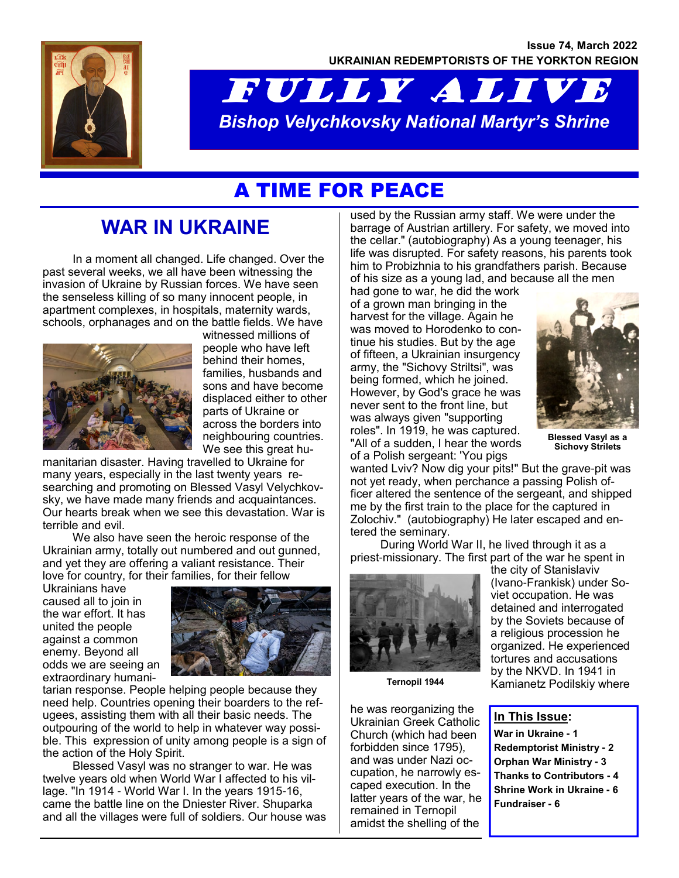

# FULLY ALIVE *Bishop Velychkovsky National Martyr's Shrine*

# A TIME FOR PEACE

# **WAR IN UKRAINE**

In a moment all changed. Life changed. Over the past several weeks, we all have been witnessing the invasion of Ukraine by Russian forces. We have seen the senseless killing of so many innocent people, in apartment complexes, in hospitals, maternity wards, schools, orphanages and on the battle fields. We have



witnessed millions of people who have left behind their homes, families, husbands and sons and have become displaced either to other parts of Ukraine or across the borders into neighbouring countries. We see this great hu-

manitarian disaster. Having travelled to Ukraine for many years, especially in the last twenty years researching and promoting on Blessed Vasyl Velychkovsky, we have made many friends and acquaintances. Our hearts break when we see this devastation. War is terrible and evil.

We also have seen the heroic response of the Ukrainian army, totally out numbered and out gunned, and yet they are offering a valiant resistance. Their love for country, for their families, for their fellow

Ukrainians have caused all to join in the war effort. It has united the people against a common enemy. Beyond all odds we are seeing an extraordinary humani-



tarian response. People helping people because they need help. Countries opening their boarders to the refugees, assisting them with all their basic needs. The outpouring of the world to help in whatever way possible. This expression of unity among people is a sign of the action of the Holy Spirit.

Blessed Vasyl was no stranger to war. He was twelve years old when World War I affected to his village. "In 1914 - World War I. In the years 1915-16, came the battle line on the Dniester River. Shuparka and all the villages were full of soldiers. Our house was used by the Russian army staff. We were under the barrage of Austrian artillery. For safety, we moved into the cellar." (autobiography) As a young teenager, his life was disrupted. For safety reasons, his parents took him to Probizhnia to his grandfathers parish. Because of his size as a young lad, and because all the men

had gone to war, he did the work of a grown man bringing in the harvest for the village. Again he was moved to Horodenko to continue his studies. But by the age of fifteen, a Ukrainian insurgency army, the "Sichovy Striltsi", was being formed, which he joined. However, by God's grace he was never sent to the front line, but was always given "supporting roles". In 1919, he was captured. "All of a sudden, I hear the words of a Polish sergeant: 'You pigs



**Blessed Vasyl as a Sichovy Strilets**

wanted Lviv? Now dig your pits!" But the grave-pit was not yet ready, when perchance a passing Polish officer altered the sentence of the sergeant, and shipped me by the first train to the place for the captured in Zolochiv." (autobiography) He later escaped and entered the seminary.

During World War II, he lived through it as a priest-missionary. The first part of the war he spent in



**Ternopil 1944**

he was reorganizing the Ukrainian Greek Catholic Church (which had been forbidden since 1795), and was under Nazi occupation, he narrowly escaped execution. In the latter years of the war, he remained in Ternopil amidst the shelling of the

the city of Stanislaviv (Ivano-Frankisk) under Soviet occupation. He was detained and interrogated by the Soviets because of a religious procession he organized. He experienced tortures and accusations by the NKVD. In 1941 in Kamianetz Podilskiy where

#### **In This Issue:**

**War in Ukraine - 1 Redemptorist Ministry - 2 Orphan War Ministry - 3 Thanks to Contributors - 4 Shrine Work in Ukraine - 6 Fundraiser - 6**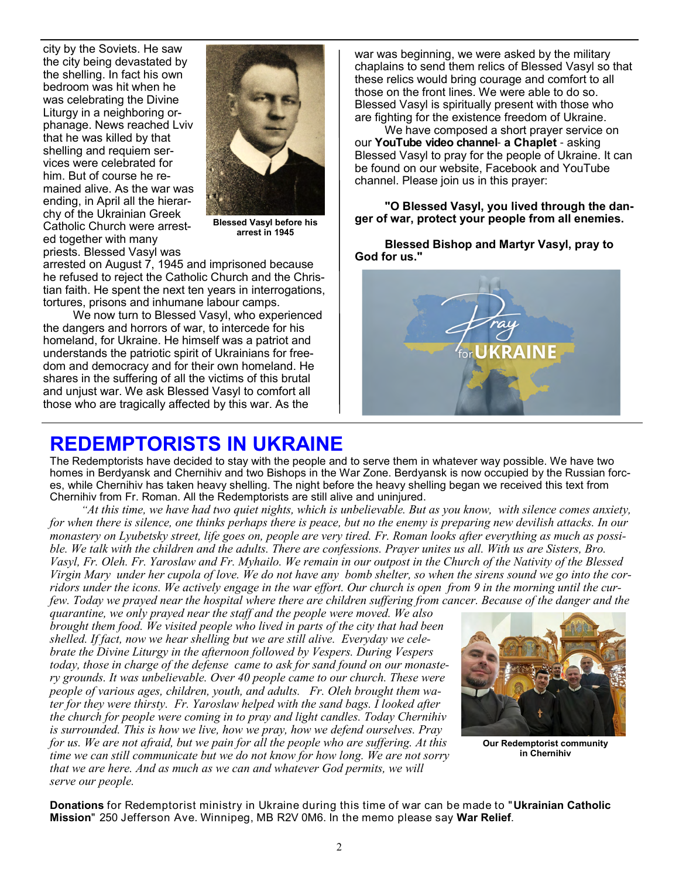city by the Soviets. He saw the city being devastated by the shelling. In fact his own bedroom was hit when he was celebrating the Divine Liturgy in a neighboring orphanage. News reached Lviv that he was killed by that shelling and requiem services were celebrated for him. But of course he remained alive. As the war was ending, in April all the hierarchy of the Ukrainian Greek Catholic Church were arrested together with many priests. Blessed Vasyl was



**Blessed Vasyl before his arrest in 1945**

arrested on August 7, 1945 and imprisoned because he refused to reject the Catholic Church and the Christian faith. He spent the next ten years in interrogations, tortures, prisons and inhumane labour camps.

We now turn to Blessed Vasyl, who experienced the dangers and horrors of war, to intercede for his homeland, for Ukraine. He himself was a patriot and understands the patriotic spirit of Ukrainians for freedom and democracy and for their own homeland. He shares in the suffering of all the victims of this brutal and unjust war. We ask Blessed Vasyl to comfort all those who are tragically affected by this war. As the

war was beginning, we were asked by the military chaplains to send them relics of Blessed Vasyl so that these relics would bring courage and comfort to all those on the front lines. We were able to do so. Blessed Vasyl is spiritually present with those who are fighting for the existence freedom of Ukraine.

We have composed a short prayer service on our **YouTube video channel**- **a Chaplet** - asking Blessed Vasyl to pray for the people of Ukraine. It can be found on our website, Facebook and YouTube channel. Please join us in this prayer:

**"O Blessed Vasyl, you lived through the danger of war, protect your people from all enemies.** 

**Blessed Bishop and Martyr Vasyl, pray to God for us."**



#### **REDEMPTORISTS IN UKRAINE**

The Redemptorists have decided to stay with the people and to serve them in whatever way possible. We have two homes in Berdyansk and Chernihiv and two Bishops in the War Zone. Berdyansk is now occupied by the Russian forces, while Chernihiv has taken heavy shelling. The night before the heavy shelling began we received this text from Chernihiv from Fr. Roman. All the Redemptorists are still alive and uninjured.

*"At this time, we have had two quiet nights, which is unbelievable. But as you know, with silence comes anxiety, for when there is silence, one thinks perhaps there is peace, but no the enemy is preparing new devilish attacks. In our monastery on Lyubetsky street, life goes on, people are very tired. Fr. Roman looks after everything as much as possible. We talk with the children and the adults. There are confessions. Prayer unites us all. With us are Sisters, Bro. Vasyl, Fr. Oleh. Fr. Yaroslaw and Fr. Myhailo. We remain in our outpost in the Church of the Nativity of the Blessed Virgin Mary under her cupola of love. We do not have any bomb shelter, so when the sirens sound we go into the corridors under the icons. We actively engage in the war effort. Our church is open from 9 in the morning until the curfew. Today we prayed near the hospital where there are children suffering from cancer. Because of the danger and the* 

*quarantine, we only prayed near the staff and the people were moved. We also brought them food. We visited people who lived in parts of the city that had been shelled. If fact, now we hear shelling but we are still alive. Everyday we celebrate the Divine Liturgy in the afternoon followed by Vespers. During Vespers today, those in charge of the defense came to ask for sand found on our monastery grounds. It was unbelievable. Over 40 people came to our church. These were people of various ages, children, youth, and adults. Fr. Oleh brought them water for they were thirsty. Fr. Yaroslaw helped with the sand bags. I looked after the church for people were coming in to pray and light candles. Today Chernihiv is surrounded. This is how we live, how we pray, how we defend ourselves. Pray for us. We are not afraid, but we pain for all the people who are suffering. At this time we can still communicate but we do not know for how long. We are not sorry that we are here. And as much as we can and whatever God permits, we will serve our people.*



**Our Redemptorist community in Chernihiv**

**Donations** for Redemptorist ministry in Ukraine during this time of war can be made to "**Ukrainian Catholic Mission**" 250 Jefferson Ave. Winnipeg, MB R2V 0M6. In the memo please say **War Relief**.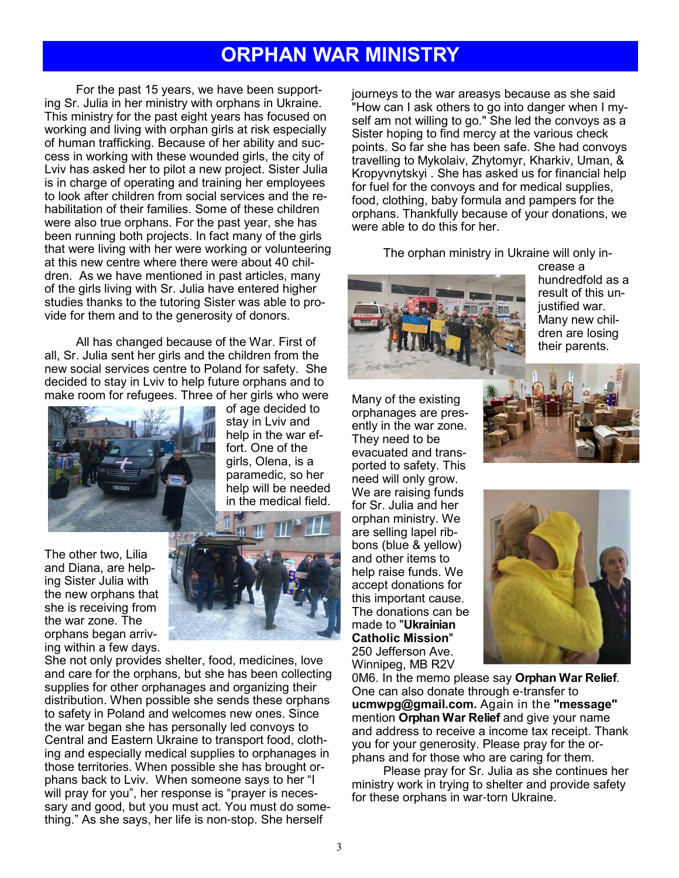### **ORPHAN WAR MINISTRY**

For the past 15 years, we have been supporting Sr. Julia in her ministry with orphans in Ukraine. This ministry for the past eight years has focused on working and living with orphan girls at risk especially of human trafficking. Because of her ability and success in working with these wounded girls, the city of Lviv has asked her to pilot a new project. Sister Julia is in charge of operating and training her employees to look after children from social services and the rehabilitation of their families. Some of these children were also true orphans. For the past year, she has been running both projects. In fact many of the girls that were living with her were working or volunteering at this new centre where there were about 40 children. As we have mentioned in past articles, many of the girls living with Sr. Julia have entered higher studies thanks to the tutoring Sister was able to provide for them and to the generosity of donors.

All has changed because of the War. First of all, Sr. Julia sent her girls and the children from the new social services centre to Poland for safety. She decided to stay in Lviv to help future orphans and to make room for refugees. Three of her girls who were



of age decided to stay in Lviv and help in the war effort. One of the girls, Olena, is a paramedic, so her help will be needed in the medical field.

The other two, Lilia and Diana, are helping Sister Julia with the new orphans that she is receiving from the war zone. The orphans began arriving within a few days.



She not only provides shelter, food, medicines, love and care for the orphans, but she has been collecting supplies for other orphanages and organizing their distribution. When possible she sends these orphans to safety in Poland and welcomes new ones. Since the war began she has personally led convoys to Central and Eastern Ukraine to transport food, clothing and especially medical supplies to orphanages in those territories. When possible she has brought orphans back to Lviv. When someone says to her "I will pray for you", her response is "prayer is necessary and good, but you must act. You must do something." As she says, her life is non-stop. She herself

journeys to the war areasys because as she said "How can I ask others to go into danger when I myself am not willing to go." She led the convoys as a Sister hoping to find mercy at the various check points. So far she has been safe. She had convoys travelling to Mykolaiv, Zhytomyr, Kharkiv, Uman, & Kropyvnytskyi . She has asked us for financial help for fuel for the convoys and for medical supplies, food, clothing, baby formula and pampers for the orphans. Thankfully because of your donations, we were able to do this for her.

The orphan ministry in Ukraine will only in-



crease a hundredfold as a result of this unjustified war. Many new children are losing their parents.

Many of the existing orphanages are presently in the war zone. They need to be evacuated and transported to safety. This need will only grow. We are raising funds for Sr. Julia and her orphan ministry. We are selling lapel ribbons (blue & yellow) and other items to help raise funds. We accept donations for this important cause. The donations can be made to "**Ukrainian Catholic Mission**" 250 Jefferson Ave. Winnipeg, MB R2V





0M6. In the memo please say **Orphan War Relief**. One can also donate through e-transfer to **ucmwpg@gmail.com.** Again in the **"message"** mention **Orphan War Relief** and give your name and address to receive a income tax receipt. Thank you for your generosity. Please pray for the orphans and for those who are caring for them.

Please pray for Sr. Julia as she continues her ministry work in trying to shelter and provide safety for these orphans in war-torn Ukraine.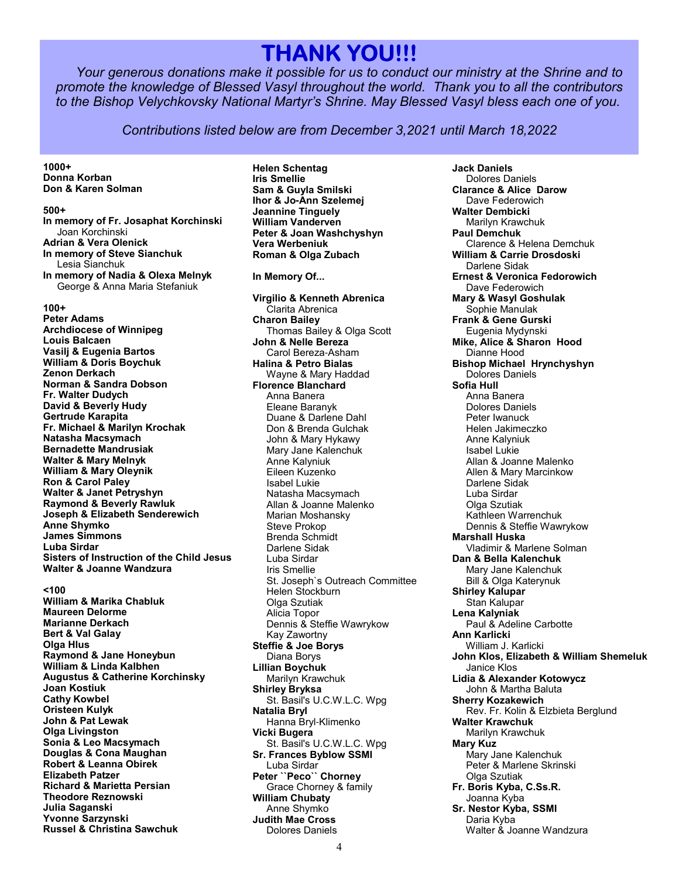## **THANK YOU!!! THANK YOU!!! HANK YOU!!!**

*Your generous donations make it possible for us to conduct our ministry at the Shrine and to promote the knowledge of Blessed Vasyl throughout the world. Thank you to all the contributors to the Bishop Velychkovsky National Martyr's Shrine. May Blessed Vasyl bless each one of you.*

*Contributions listed below are from December 3,2021 until March 18,2022*

**1000+ Donna Korban Don & Karen Solman**

**500+**

**In memory of Fr. Josaphat Korchinski** Joan Korchinski **Adrian & Vera Olenick In memory of Steve Sianchuk** Lesia Sianchuk **In memory of Nadia & Olexa Melnyk** George & Anna Maria Stefaniuk

**100+ Peter Adams**

**Archdiocese of Winnipeg Louis Balcaen Vasilj & Eugenia Bartos William & Doris Boychuk Zenon Derkach Norman & Sandra Dobson Fr. Walter Dudych David & Beverly Hudy Gertrude Karapita Fr. Michael & Marilyn Krochak Natasha Macsymach Bernadette Mandrusiak Walter & Mary Melnyk William & Mary Oleynik Ron & Carol Paley Walter & Janet Petryshyn Raymond & Beverly Rawluk Joseph & Elizabeth Senderewich Anne Shymko James Simmons Luba Sirdar Sisters of Instruction of the Child Jesus Walter & Joanne Wandzura**

**<100**

**William & Marika Chabluk Maureen Delorme Marianne Derkach Bert & Val Galay Olga Hlus Raymond & Jane Honeybun William & Linda Kalbhen Augustus & Catherine Korchinsky Joan Kostiuk Cathy Kowbel Oristeen Kulyk John & Pat Lewak Olga Livingston Sonia & Leo Macsymach Douglas & Cona Maughan Robert & Leanna Obirek Elizabeth Patzer Richard & Marietta Persian Theodore Reznowski Julia Saganski Yvonne Sarzynski Russel & Christina Sawchuk**

**Helen Schentag Iris Smellie Sam & Guyla Smilski Ihor & Jo-Ann Szelemej Jeannine Tinguely William Vanderven Peter & Joan Washchyshyn Vera Werbeniuk Roman & Olga Zubach**

**In Memory Of...**

**Virgilio & Kenneth Abrenica** Clarita Abrenica **Charon Bailey** Thomas Bailey & Olga Scott **John & Nelle Bereza** Carol Bereza-Asham **Halina & Petro Bialas** Wayne & Mary Haddad **Florence Blanchard** Anna Banera Eleane Baranyk Duane & Darlene Dahl Don & Brenda Gulchak John & Mary Hykawy Mary Jane Kalenchuk Anne Kalyniuk Eileen Kuzenko Isabel Lukie Natasha Macsymach Allan & Joanne Malenko Marian Moshansky Steve Prokop Brenda Schmidt Darlene Sidak Luba Sirdar Iris Smellie St. Joseph`s Outreach Committee Helen Stockburn Olga Szutiak Alicia Topor Dennis & Steffie Wawrykow Kay Zawortny **Steffie & Joe Borys** Diana Borys **Lillian Boychuk** Marilyn Krawchuk **Shirley Bryksa** St. Basil's U.C.W.L.C. Wpg **Natalia Bryl** Hanna Bryl-Klimenko **Vicki Bugera** St. Basil's U.C.W.L.C. Wpg **Sr. Frances Byblow SSMI** Luba Sirdar **Peter ``Peco`` Chorney**  Grace Chorney & family **William Chubaty** Anne Shymko **Judith Mae Cross** Dolores Daniels

**Jack Daniels** Dolores Daniels **Clarance & Alice Darow** Dave Federowich **Walter Dembicki** Marilyn Krawchuk **Paul Demchuk** Clarence & Helena Demchuk **William & Carrie Drosdoski** Darlene Sidak **Ernest & Veronica Fedorowich** Dave Federowich **Mary & Wasyl Goshulak** Sophie Manulak **Frank & Gene Gurski** Eugenia Mydynski **Mike, Alice & Sharon Hood** Dianne Hood **Bishop Michael Hrynchyshyn** Dolores Daniels **Sofia Hull** Anna Banera Dolores Daniels Peter Iwanuck Helen Jakimeczko Anne Kalyniuk Isabel Lukie Allan & Joanne Malenko Allen & Mary Marcinkow Darlene Sidak Luba Sirdar Olga Szutiak Kathleen Warrenchuk Dennis & Steffie Wawrykow **Marshall Huska** Vladimir & Marlene Solman **Dan & Bella Kalenchuk** Mary Jane Kalenchuk Bill & Olga Katerynuk **Shirley Kalupar** Stan Kalupar **Lena Kalyniak** Paul & Adeline Carbotte **Ann Karlicki** William J. Karlicki **John Klos, Elizabeth & William Shemeluk** Janice Klos **Lidia & Alexander Kotowycz** John & Martha Baluta **Sherry Kozakewich** Rev. Fr. Kolin & Elzbieta Berglund **Walter Krawchuk** Marilyn Krawchuk **Mary Kuz** Mary Jane Kalenchuk Peter & Marlene Skrinski Olga Szutiak **Fr. Boris Kyba, C.Ss.R.** Joanna Kyba **Sr. Nestor Kyba, SSMI** Daria Kyba Walter & Joanne Wandzura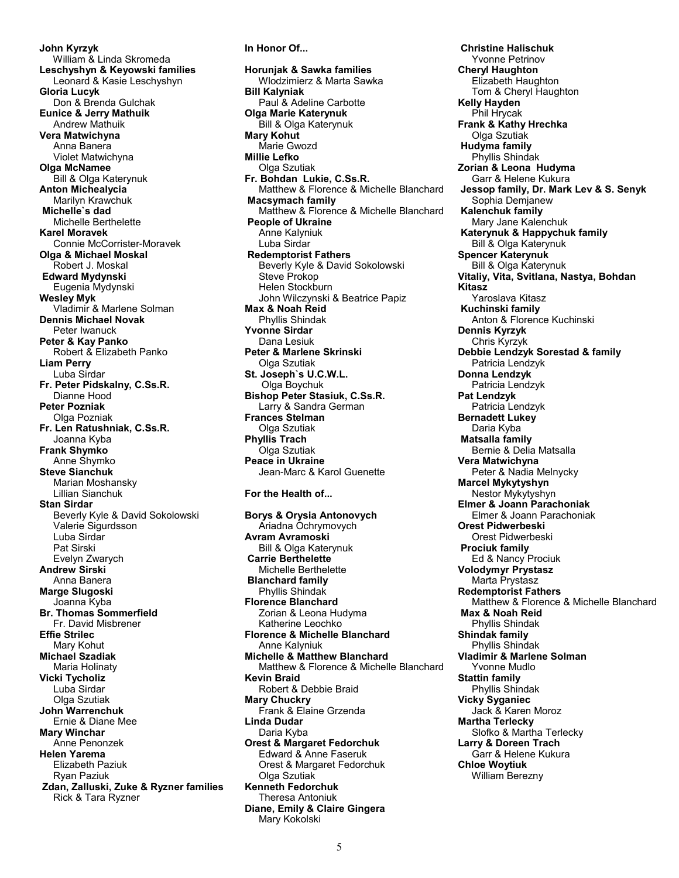**John Kyrzyk** William & Linda Skromeda **Leschyshyn & Keyowski families** Leonard & Kasie Leschyshyn **Gloria Lucyk** Don & Brenda Gulchak **Eunice & Jerry Mathuik** Andrew Mathuik **Vera Matwichyna** Anna Banera Violet Matwichyna **Olga McNamee** Bill & Olga Katerynuk **Anton Michealycia** Marilyn Krawchuk  **Michelle`s dad** Michelle Berthelette **Karel Moravek** Connie McCorrister-Moravek **Olga & Michael Moskal** Robert J. Moskal  **Edward Mydynski** Eugenia Mydynski **Wesley Myk** Vladimir & Marlene Solman **Dennis Michael Novak** Peter Iwanuck **Peter & Kay Panko** Robert & Elizabeth Panko **Liam Perry** Luba Sirdar **Fr. Peter Pidskalny, C.Ss.R.** Dianne Hood **Peter Pozniak** Olga Pozniak **Fr. Len Ratushniak, C.Ss.R.** Joanna Kyba **Frank Shymko** Anne Shymko **Steve Sianchuk** Marian Moshansky Lillian Sianchuk **Stan Sirdar** Beverly Kyle & David Sokolowski Valerie Sigurdsson Luba Sirdar Pat Sirski Evelyn Zwarych **Andrew Sirski** Anna Banera **Marge Slugoski** Joanna Kyba **Br. Thomas Sommerfield** Fr. David Misbrener **Effie Strilec** Mary Kohut **Michael Szadiak** Maria Holinaty **Vicki Tycholiz** Luba Sirdar **Olga Szutiak John Warrenchuk** Ernie & Diane Mee **Mary Winchar** Anne Penonzek **Helen Yarema** Elizabeth Paziuk Ryan Paziuk  **Zdan, Zalluski, Zuke & Ryzner families** Rick & Tara Ryzner

**Horunjak & Sawka families** Wlodzimierz & Marta Sawka **Bill Kalyniak** Paul & Adeline Carbotte **Olga Marie Katerynuk** Bill & Olga Katerynuk **Mary Kohut** Marie Gwozd **Millie Lefko** Olga Szutiak **Fr. Bohdan Lukie, C.Ss.R.** Matthew & Florence & Michelle Blanchard  **Macsymach family** Matthew & Florence & Michelle Blanchard  **People of Ukraine** Anne Kalyniuk Luba Sirdar  **Redemptorist Fathers** Beverly Kyle & David Sokolowski Steve Prokop Helen Stockburn John Wilczynski & Beatrice Papiz **Max & Noah Reid** Phyllis Shindak **Yvonne Sirdar** Dana Lesiuk **Peter & Marlene Skrinski Olga Szutiak St. Joseph`s U.C.W.L.** Olga Boychuk **Bishop Peter Stasiuk, C.Ss.R.** Larry & Sandra German **Frances Stelman** Olga Szutiak **Phyllis Trach** Olga Szutiak **Peace in Ukraine** Jean-Marc & Karol Guenette **For the Health of... Borys & Orysia Antonovych** Ariadna Ochrymovych **Avram Avramoski** Bill & Olga Katerynuk  **Carrie Berthelette** Michelle Berthelette  **Blanchard family** Phyllis Shindak **Florence Blanchard** Zorian & Leona Hudyma Katherine Leochko **Florence & Michelle Blanchard** Anne Kalyniuk **Michelle & Matthew Blanchard** Matthew & Florence & Michelle Blanchard **Kevin Braid** Robert & Debbie Braid **Mary Chuckry** Frank & Elaine Grzenda **Linda Dudar** Daria Kyba **Orest & Margaret Fedorchuk** Edward & Anne Faseruk Orest & Margaret Fedorchuk Olga Szutiak **Kenneth Fedorchuk** Theresa Antoniuk **Diane, Emily & Claire Gingera** Mary Kokolski

**In Honor Of...**

 **Christine Halischuk** Yvonne Petrinov **Cheryl Haughton** Elizabeth Haughton Tom & Cheryl Haughton **Kelly Hayden** Phil Hrycak **Frank & Kathy Hrechka** Olga Szutiak  **Hudyma family** Phyllis Shindak **Zorian & Leona Hudyma** Garr & Helene Kukura  **Jessop family, Dr. Mark Lev & S. Senyk** Sophia Demjanew  **Kalenchuk family** Mary Jane Kalenchuk  **Katerynuk & Happychuk family** Bill & Olga Katerynuk **Spencer Katerynuk** Bill & Olga Katerynuk **Vitaliy, Vita, Svitlana, Nastya, Bohdan Kitasz** Yaroslava Kitasz  **Kuchinski family** Anton & Florence Kuchinski **Dennis Kyrzyk** Chris Kyrzyk **Debbie Lendzyk Sorestad & family** Patricia Lendzyk **Donna Lendzyk** Patricia Lendzyk **Pat Lendzyk** Patricia Lendzyk **Bernadett Lukey** Daria Kyba  **Matsalla family** Bernie & Delia Matsalla **Vera Matwichyna** Peter & Nadia Melnycky **Marcel Mykytyshyn** Nestor Mykytyshyn **Elmer & Joann Parachoniak** Elmer & Joann Parachoniak **Orest Pidwerbeski** Orest Pidwerbeski  **Prociuk family** Ed & Nancy Prociuk **Volodymyr Prystasz** Marta Prystasz **Redemptorist Fathers** Matthew & Florence & Michelle Blanchard  **Max & Noah Reid** Phyllis Shindak **Shindak family** Phyllis Shindak **Vladimir & Marlene Solman** Yvonne Mudlo **Stattin family** Phyllis Shindak **Vicky Syganiec** Jack & Karen Moroz **Martha Terlecky** Slofko & Martha Terlecky **Larry & Doreen Trach** Garr & Helene Kukura **Chloe Woytiuk** William Berezny